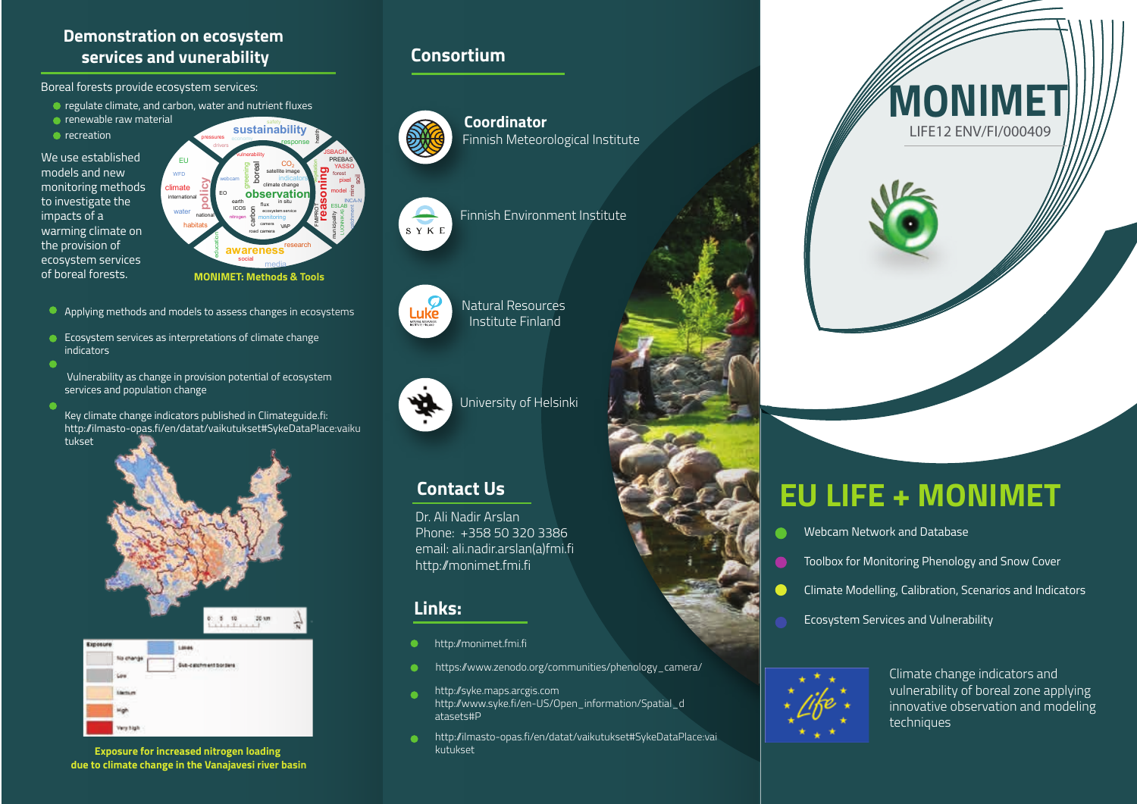#### **Demonstration on ecosystem services and vunerability Consortium**

Boreal forests provide ecosystem services:

- regulate climate, and carbon, water and nutrient fluxes
- **•** renewable raw material
- **•** recreation

We use established models and new monitoring methods to investigate the impacts of a warming climate on the provision of ecosystem services of boreal forests.



- Applying methods and models to assess changes in ecosystems
- Ecosystem services as interpretations of climate change indicators
- Vulnerability as change in provision potential of ecosystem services and population change
- Key climate change indicators published in Climateguide.fi: http://ilmasto-opas.fi/en/datat/vaikutukset#SykeDataPlace:vaiku tukset





**Exposure for increased nitrogen loading due to climate change in the Vanajavesi river basin**



**Coordinator** Finnish Meteorological Institute

Finnish Environment Institute

Natural Resources Institute Finland

## Luke NATURAL RESOURCE

 $S Y K E$ 



University of Helsinki

### **Contact Us**

Dr. Ali Nadir Arslan Phone: +358 50 320 3386 email: ali.nadir.arslan(a)fmi.fi http://monimet.fmi.fi

#### **Links:**

- http://monimet.fmi.fi  $\bullet$
- https://www.zenodo.org/communities/phenology\_camera/  $\bullet$
- http://syke.maps.arcgis.com ٠ http://www.syke.fi/en-US/Open\_information/Spatial\_d atasets#P
- http://ilmasto-opas.fi/en/datat/vaikutukset#SykeDataPlace:vai  $\bullet$ kutukset



# **EU LIFE + MONIMET**

- Webcam Network and Database
- Toolbox for Monitoring Phenology and Snow Cover
- Climate Modelling, Calibration, Scenarios and Indicators
- Ecosystem Services and Vulnerability



Climate change indicators and vulnerability of boreal zone applying innovative observation and modeling techniques

**MONIMET** LIFE12 ENV/FI/000409